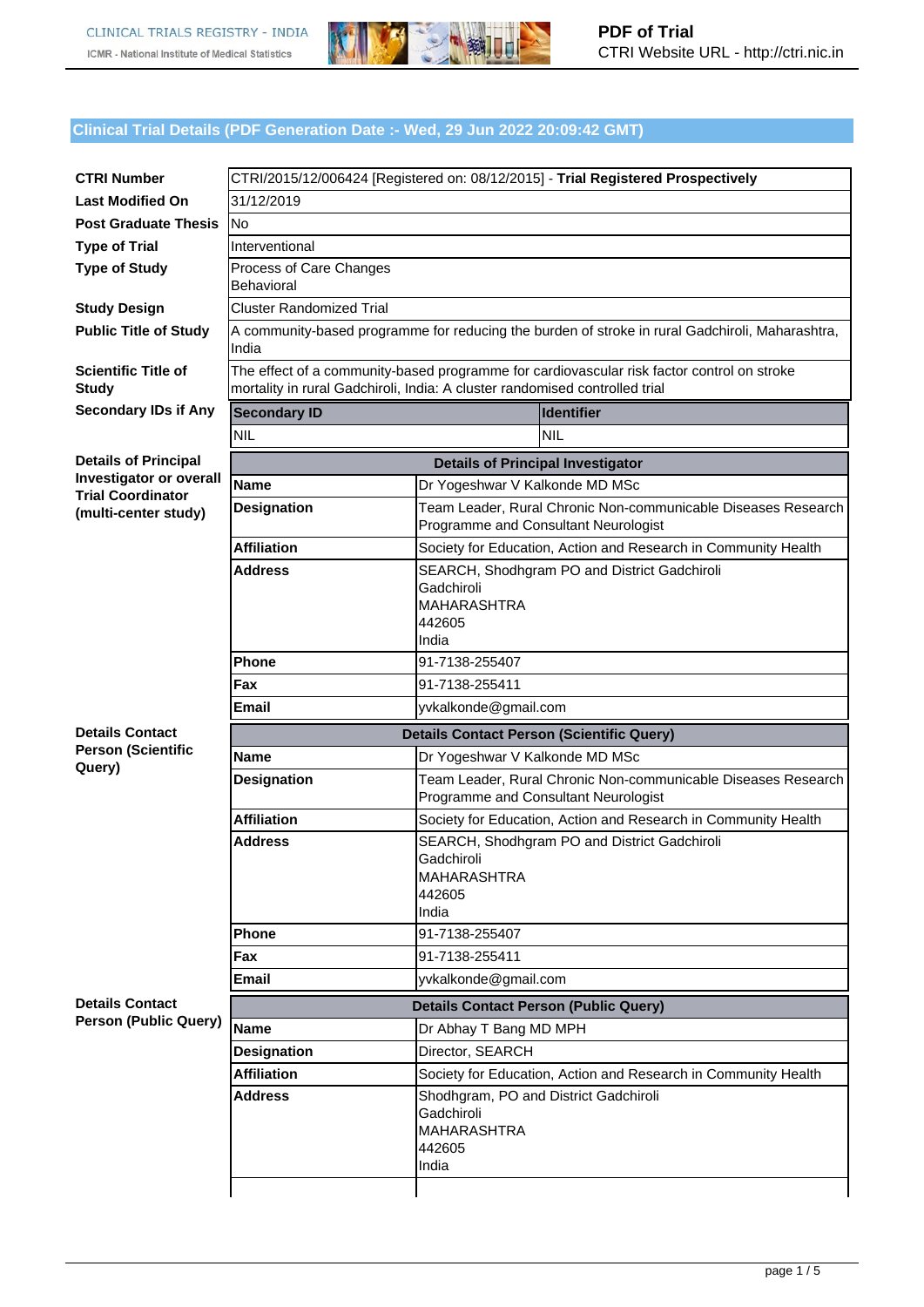

## **Clinical Trial Details (PDF Generation Date :- Wed, 29 Jun 2022 20:09:42 GMT)**

| <b>CTRI Number</b>                               | CTRI/2015/12/006424 [Registered on: 08/12/2015] - Trial Registered Prospectively                                                                                          |                                                                                                       |  |  |  |
|--------------------------------------------------|---------------------------------------------------------------------------------------------------------------------------------------------------------------------------|-------------------------------------------------------------------------------------------------------|--|--|--|
| <b>Last Modified On</b>                          | 31/12/2019                                                                                                                                                                |                                                                                                       |  |  |  |
| <b>Post Graduate Thesis</b>                      | <b>No</b>                                                                                                                                                                 |                                                                                                       |  |  |  |
| <b>Type of Trial</b>                             | Interventional                                                                                                                                                            |                                                                                                       |  |  |  |
| <b>Type of Study</b>                             | Process of Care Changes<br>Behavioral                                                                                                                                     |                                                                                                       |  |  |  |
| <b>Study Design</b>                              | <b>Cluster Randomized Trial</b>                                                                                                                                           |                                                                                                       |  |  |  |
| <b>Public Title of Study</b>                     | A community-based programme for reducing the burden of stroke in rural Gadchiroli, Maharashtra,<br>India                                                                  |                                                                                                       |  |  |  |
| <b>Scientific Title of</b><br><b>Study</b>       | The effect of a community-based programme for cardiovascular risk factor control on stroke<br>mortality in rural Gadchiroli, India: A cluster randomised controlled trial |                                                                                                       |  |  |  |
| <b>Secondary IDs if Any</b>                      | <b>Secondary ID</b><br><b>Identifier</b>                                                                                                                                  |                                                                                                       |  |  |  |
|                                                  | <b>NIL</b>                                                                                                                                                                | <b>NIL</b>                                                                                            |  |  |  |
| <b>Details of Principal</b>                      | <b>Details of Principal Investigator</b>                                                                                                                                  |                                                                                                       |  |  |  |
| Investigator or overall                          | <b>Name</b>                                                                                                                                                               | Dr Yogeshwar V Kalkonde MD MSc                                                                        |  |  |  |
| <b>Trial Coordinator</b><br>(multi-center study) | <b>Designation</b>                                                                                                                                                        | Team Leader, Rural Chronic Non-communicable Diseases Research<br>Programme and Consultant Neurologist |  |  |  |
|                                                  | <b>Affiliation</b>                                                                                                                                                        | Society for Education, Action and Research in Community Health                                        |  |  |  |
|                                                  | <b>Address</b>                                                                                                                                                            | SEARCH, Shodhgram PO and District Gadchiroli<br>Gadchiroli<br><b>MAHARASHTRA</b><br>442605<br>India   |  |  |  |
|                                                  | <b>Phone</b>                                                                                                                                                              | 91-7138-255407                                                                                        |  |  |  |
|                                                  | Fax                                                                                                                                                                       | 91-7138-255411                                                                                        |  |  |  |
|                                                  | <b>Email</b>                                                                                                                                                              | yvkalkonde@gmail.com                                                                                  |  |  |  |
| <b>Details Contact</b>                           | <b>Details Contact Person (Scientific Query)</b>                                                                                                                          |                                                                                                       |  |  |  |
| <b>Person (Scientific</b><br>Query)              | <b>Name</b>                                                                                                                                                               | Dr Yogeshwar V Kalkonde MD MSc                                                                        |  |  |  |
|                                                  | <b>Designation</b>                                                                                                                                                        | Team Leader, Rural Chronic Non-communicable Diseases Research<br>Programme and Consultant Neurologist |  |  |  |
|                                                  | <b>Affiliation</b>                                                                                                                                                        | Society for Education, Action and Research in Community Health                                        |  |  |  |
|                                                  | <b>Address</b>                                                                                                                                                            | SEARCH, Shodhgram PO and District Gadchiroli<br>Gadchiroli<br><b>MAHARASHTRA</b><br>442605<br>India   |  |  |  |
|                                                  | <b>Phone</b>                                                                                                                                                              | 91-7138-255407                                                                                        |  |  |  |
|                                                  | Fax                                                                                                                                                                       | 91-7138-255411                                                                                        |  |  |  |
|                                                  | <b>Email</b>                                                                                                                                                              | yvkalkonde@gmail.com                                                                                  |  |  |  |
| <b>Details Contact</b>                           |                                                                                                                                                                           | <b>Details Contact Person (Public Query)</b>                                                          |  |  |  |
| <b>Person (Public Query)</b>                     | <b>Name</b>                                                                                                                                                               | Dr Abhay T Bang MD MPH                                                                                |  |  |  |
|                                                  | <b>Designation</b>                                                                                                                                                        | Director, SEARCH                                                                                      |  |  |  |
|                                                  | <b>Affiliation</b>                                                                                                                                                        | Society for Education, Action and Research in Community Health                                        |  |  |  |
|                                                  | <b>Address</b>                                                                                                                                                            | Shodhgram, PO and District Gadchiroli<br>Gadchiroli<br>MAHARASHTRA<br>442605<br>India                 |  |  |  |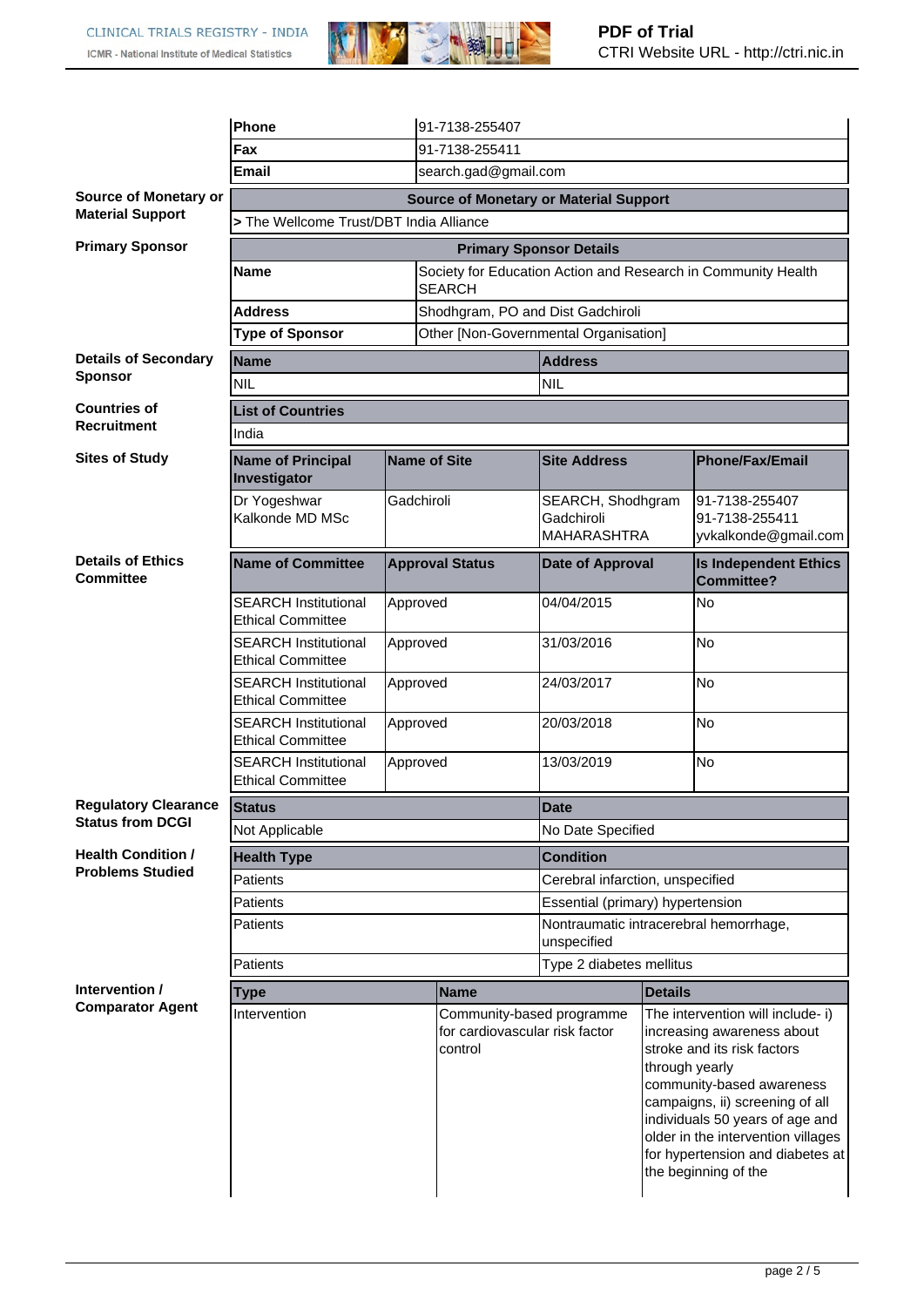

|                                               | Phone                                                   |                                  |  | 91-7138-255407                                                         |                                                               |                |                                                                                                                                                                                                                                                                                                     |  |
|-----------------------------------------------|---------------------------------------------------------|----------------------------------|--|------------------------------------------------------------------------|---------------------------------------------------------------|----------------|-----------------------------------------------------------------------------------------------------------------------------------------------------------------------------------------------------------------------------------------------------------------------------------------------------|--|
|                                               | Fax                                                     | 91-7138-255411                   |  |                                                                        |                                                               |                |                                                                                                                                                                                                                                                                                                     |  |
|                                               | search.gad@gmail.com<br>Email                           |                                  |  |                                                                        |                                                               |                |                                                                                                                                                                                                                                                                                                     |  |
| <b>Source of Monetary or</b>                  | <b>Source of Monetary or Material Support</b>           |                                  |  |                                                                        |                                                               |                |                                                                                                                                                                                                                                                                                                     |  |
| <b>Material Support</b>                       | > The Wellcome Trust/DBT India Alliance                 |                                  |  |                                                                        |                                                               |                |                                                                                                                                                                                                                                                                                                     |  |
| <b>Primary Sponsor</b>                        | <b>Primary Sponsor Details</b>                          |                                  |  |                                                                        |                                                               |                |                                                                                                                                                                                                                                                                                                     |  |
|                                               | Name                                                    | <b>SEARCH</b>                    |  |                                                                        | Society for Education Action and Research in Community Health |                |                                                                                                                                                                                                                                                                                                     |  |
|                                               | <b>Address</b>                                          |                                  |  |                                                                        | Shodhgram, PO and Dist Gadchiroli                             |                |                                                                                                                                                                                                                                                                                                     |  |
|                                               | <b>Type of Sponsor</b>                                  |                                  |  |                                                                        | Other [Non-Governmental Organisation]                         |                |                                                                                                                                                                                                                                                                                                     |  |
| <b>Details of Secondary</b><br><b>Sponsor</b> | <b>Name</b>                                             |                                  |  |                                                                        | <b>Address</b>                                                |                |                                                                                                                                                                                                                                                                                                     |  |
|                                               | <b>NIL</b>                                              |                                  |  | <b>NIL</b>                                                             |                                                               |                |                                                                                                                                                                                                                                                                                                     |  |
| <b>Countries of</b><br><b>Recruitment</b>     | <b>List of Countries</b>                                |                                  |  |                                                                        |                                                               |                |                                                                                                                                                                                                                                                                                                     |  |
|                                               | India                                                   |                                  |  |                                                                        |                                                               |                |                                                                                                                                                                                                                                                                                                     |  |
| <b>Sites of Study</b>                         | <b>Name of Principal</b><br>Investigator                |                                  |  | <b>Name of Site</b>                                                    | <b>Site Address</b>                                           |                | <b>Phone/Fax/Email</b>                                                                                                                                                                                                                                                                              |  |
|                                               | Dr Yogeshwar<br>Kalkonde MD MSc                         | Gadchiroli                       |  |                                                                        | SEARCH, Shodhgram<br>Gadchiroli                               |                | 91-7138-255407<br>91-7138-255411                                                                                                                                                                                                                                                                    |  |
|                                               |                                                         |                                  |  |                                                                        | <b>MAHARASHTRA</b>                                            |                | yvkalkonde@gmail.com                                                                                                                                                                                                                                                                                |  |
| <b>Details of Ethics</b><br><b>Committee</b>  | <b>Name of Committee</b>                                | <b>Approval Status</b>           |  |                                                                        | <b>Date of Approval</b>                                       |                | <b>Is Independent Ethics</b><br><b>Committee?</b>                                                                                                                                                                                                                                                   |  |
|                                               | <b>SEARCH Institutional</b><br><b>Ethical Committee</b> | Approved                         |  |                                                                        | 04/04/2015                                                    |                | No                                                                                                                                                                                                                                                                                                  |  |
|                                               | <b>SEARCH Institutional</b><br><b>Ethical Committee</b> | Approved                         |  |                                                                        | 31/03/2016                                                    |                | No                                                                                                                                                                                                                                                                                                  |  |
|                                               | <b>SEARCH Institutional</b><br><b>Ethical Committee</b> | Approved<br>Approved<br>Approved |  |                                                                        | 24/03/2017                                                    |                | No                                                                                                                                                                                                                                                                                                  |  |
|                                               | <b>SEARCH Institutional</b><br><b>Ethical Committee</b> |                                  |  |                                                                        | 20/03/2018                                                    |                | No                                                                                                                                                                                                                                                                                                  |  |
|                                               | <b>SEARCH Institutional</b><br><b>Ethical Committee</b> |                                  |  |                                                                        | 13/03/2019                                                    |                | No                                                                                                                                                                                                                                                                                                  |  |
| <b>Regulatory Clearance</b>                   | <b>Status</b>                                           |                                  |  |                                                                        | <b>Date</b>                                                   |                |                                                                                                                                                                                                                                                                                                     |  |
| <b>Status from DCGI</b>                       | Not Applicable                                          |                                  |  | No Date Specified                                                      |                                                               |                |                                                                                                                                                                                                                                                                                                     |  |
| <b>Health Condition /</b>                     | <b>Health Type</b>                                      |                                  |  |                                                                        | <b>Condition</b>                                              |                |                                                                                                                                                                                                                                                                                                     |  |
| <b>Problems Studied</b>                       | Patients                                                |                                  |  | Cerebral infarction, unspecified                                       |                                                               |                |                                                                                                                                                                                                                                                                                                     |  |
|                                               | Patients                                                |                                  |  |                                                                        | Essential (primary) hypertension                              |                |                                                                                                                                                                                                                                                                                                     |  |
| Patients                                      |                                                         |                                  |  | Nontraumatic intracerebral hemorrhage,<br>unspecified                  |                                                               |                |                                                                                                                                                                                                                                                                                                     |  |
|                                               | Patients                                                |                                  |  |                                                                        | Type 2 diabetes mellitus                                      |                |                                                                                                                                                                                                                                                                                                     |  |
| Intervention /                                | <b>Type</b>                                             |                                  |  | <b>Name</b>                                                            |                                                               | <b>Details</b> |                                                                                                                                                                                                                                                                                                     |  |
| <b>Comparator Agent</b>                       | Intervention                                            |                                  |  | Community-based programme<br>for cardiovascular risk factor<br>control |                                                               | through yearly | The intervention will include- i)<br>increasing awareness about<br>stroke and its risk factors<br>community-based awareness<br>campaigns, ii) screening of all<br>individuals 50 years of age and<br>older in the intervention villages<br>for hypertension and diabetes at<br>the beginning of the |  |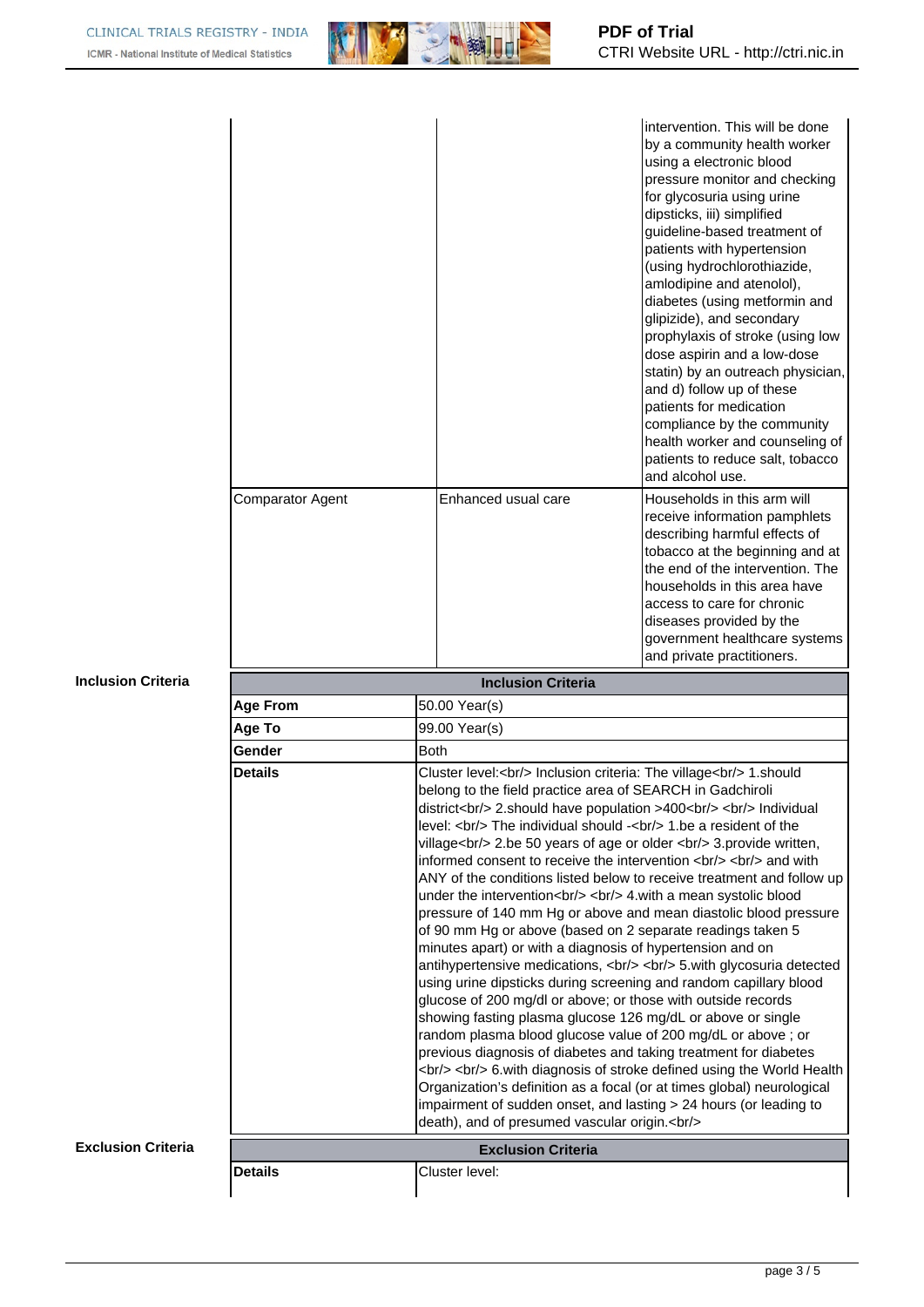

|                           |                           |                                                                                                                                                                                                          | intervention. This will be done<br>by a community health worker<br>using a electronic blood<br>pressure monitor and checking<br>for glycosuria using urine<br>dipsticks, iii) simplified<br>guideline-based treatment of<br>patients with hypertension<br>(using hydrochlorothiazide,<br>amlodipine and atenolol),<br>diabetes (using metformin and<br>glipizide), and secondary<br>prophylaxis of stroke (using low<br>dose aspirin and a low-dose |  |  |  |
|---------------------------|---------------------------|----------------------------------------------------------------------------------------------------------------------------------------------------------------------------------------------------------|-----------------------------------------------------------------------------------------------------------------------------------------------------------------------------------------------------------------------------------------------------------------------------------------------------------------------------------------------------------------------------------------------------------------------------------------------------|--|--|--|
|                           |                           |                                                                                                                                                                                                          | statin) by an outreach physician,<br>and d) follow up of these<br>patients for medication<br>compliance by the community<br>health worker and counseling of<br>patients to reduce salt, tobacco<br>and alcohol use.                                                                                                                                                                                                                                 |  |  |  |
|                           | <b>Comparator Agent</b>   | Enhanced usual care                                                                                                                                                                                      | Households in this arm will<br>receive information pamphlets<br>describing harmful effects of<br>tobacco at the beginning and at<br>the end of the intervention. The<br>households in this area have<br>access to care for chronic<br>diseases provided by the<br>government healthcare systems<br>and private practitioners.                                                                                                                       |  |  |  |
| <b>Inclusion Criteria</b> | <b>Inclusion Criteria</b> |                                                                                                                                                                                                          |                                                                                                                                                                                                                                                                                                                                                                                                                                                     |  |  |  |
|                           | <b>Age From</b>           | 50.00 Year(s)                                                                                                                                                                                            |                                                                                                                                                                                                                                                                                                                                                                                                                                                     |  |  |  |
|                           | Age To                    | 99.00 Year(s)                                                                                                                                                                                            |                                                                                                                                                                                                                                                                                                                                                                                                                                                     |  |  |  |
|                           | Gender                    | <b>Both</b>                                                                                                                                                                                              |                                                                                                                                                                                                                                                                                                                                                                                                                                                     |  |  |  |
|                           | <b>Details</b>            | Cluster level:<br>khol> Inclusion criteria: The village<br>>thol> 1.should<br>belong to the field practice area of SEARCH in Gadchiroli<br>district<br>>torl> 2.should have population >400<br>cbr/><br> |                                                                                                                                                                                                                                                                                                                                                                                                                                                     |  |  |  |
|                           |                           |                                                                                                                                                                                                          |                                                                                                                                                                                                                                                                                                                                                                                                                                                     |  |  |  |
| <b>Exclusion Criteria</b> | <b>Details</b>            | <b>Exclusion Criteria</b><br>Cluster level:                                                                                                                                                              |                                                                                                                                                                                                                                                                                                                                                                                                                                                     |  |  |  |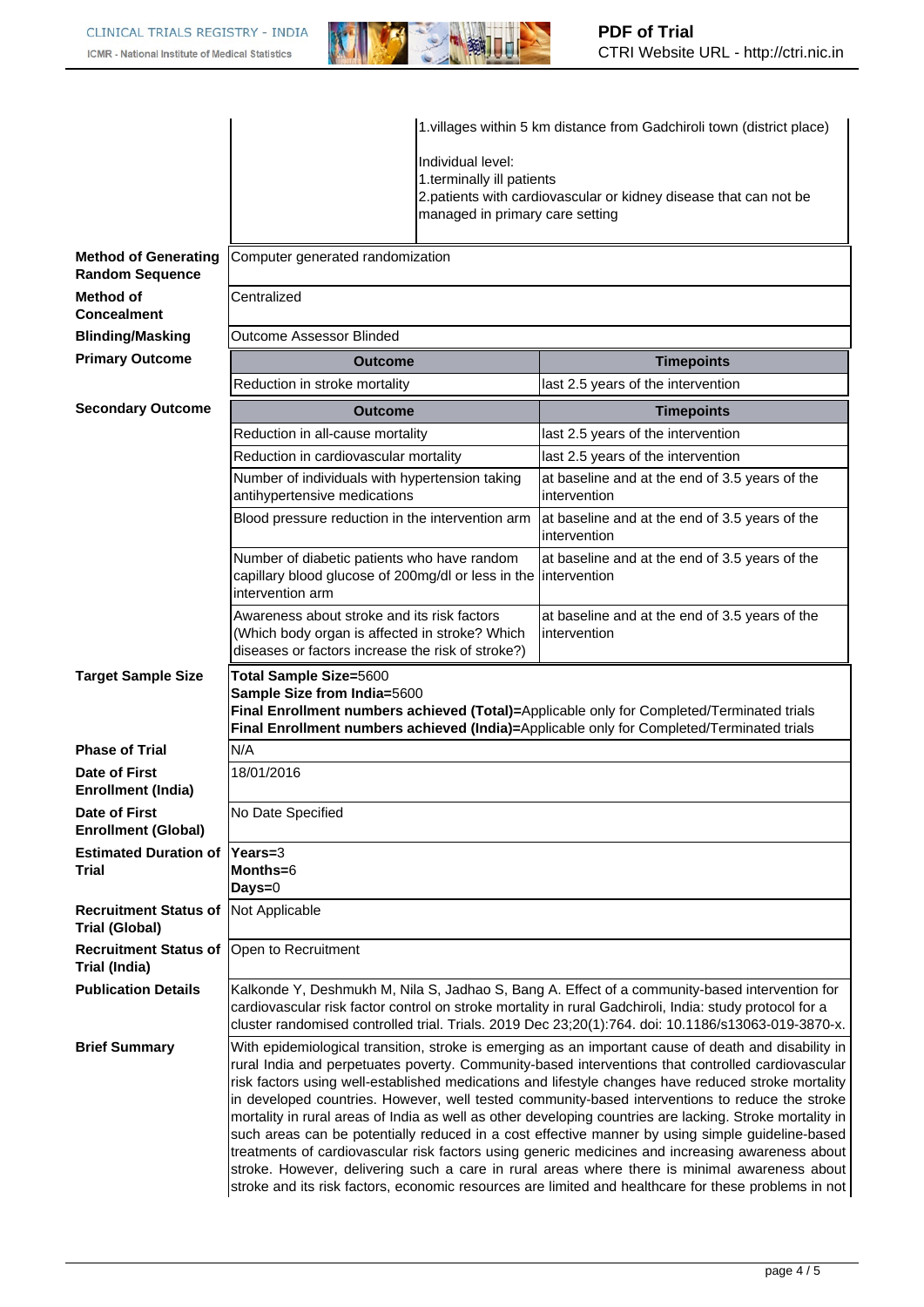

|                                                       | 1. villages within 5 km distance from Gadchiroli town (district place)                                                                                                                                                                                                                                                                                                                                                                                                                                                                                                                                                                                                                                                                                                                                                                                                                                                                           |                                                |                                                                                           |  |  |  |
|-------------------------------------------------------|--------------------------------------------------------------------------------------------------------------------------------------------------------------------------------------------------------------------------------------------------------------------------------------------------------------------------------------------------------------------------------------------------------------------------------------------------------------------------------------------------------------------------------------------------------------------------------------------------------------------------------------------------------------------------------------------------------------------------------------------------------------------------------------------------------------------------------------------------------------------------------------------------------------------------------------------------|------------------------------------------------|-------------------------------------------------------------------------------------------|--|--|--|
|                                                       |                                                                                                                                                                                                                                                                                                                                                                                                                                                                                                                                                                                                                                                                                                                                                                                                                                                                                                                                                  |                                                |                                                                                           |  |  |  |
|                                                       |                                                                                                                                                                                                                                                                                                                                                                                                                                                                                                                                                                                                                                                                                                                                                                                                                                                                                                                                                  | Individual level:<br>1.terminally ill patients |                                                                                           |  |  |  |
|                                                       |                                                                                                                                                                                                                                                                                                                                                                                                                                                                                                                                                                                                                                                                                                                                                                                                                                                                                                                                                  |                                                | 2.patients with cardiovascular or kidney disease that can not be                          |  |  |  |
|                                                       |                                                                                                                                                                                                                                                                                                                                                                                                                                                                                                                                                                                                                                                                                                                                                                                                                                                                                                                                                  | managed in primary care setting                |                                                                                           |  |  |  |
|                                                       |                                                                                                                                                                                                                                                                                                                                                                                                                                                                                                                                                                                                                                                                                                                                                                                                                                                                                                                                                  |                                                |                                                                                           |  |  |  |
| <b>Method of Generating</b><br><b>Random Sequence</b> | Computer generated randomization                                                                                                                                                                                                                                                                                                                                                                                                                                                                                                                                                                                                                                                                                                                                                                                                                                                                                                                 |                                                |                                                                                           |  |  |  |
| Method of<br><b>Concealment</b>                       | Centralized                                                                                                                                                                                                                                                                                                                                                                                                                                                                                                                                                                                                                                                                                                                                                                                                                                                                                                                                      |                                                |                                                                                           |  |  |  |
| <b>Blinding/Masking</b>                               | <b>Outcome Assessor Blinded</b>                                                                                                                                                                                                                                                                                                                                                                                                                                                                                                                                                                                                                                                                                                                                                                                                                                                                                                                  |                                                |                                                                                           |  |  |  |
| <b>Primary Outcome</b>                                | <b>Timepoints</b><br><b>Outcome</b>                                                                                                                                                                                                                                                                                                                                                                                                                                                                                                                                                                                                                                                                                                                                                                                                                                                                                                              |                                                |                                                                                           |  |  |  |
|                                                       | Reduction in stroke mortality                                                                                                                                                                                                                                                                                                                                                                                                                                                                                                                                                                                                                                                                                                                                                                                                                                                                                                                    |                                                | last 2.5 years of the intervention                                                        |  |  |  |
| <b>Secondary Outcome</b>                              | <b>Outcome</b>                                                                                                                                                                                                                                                                                                                                                                                                                                                                                                                                                                                                                                                                                                                                                                                                                                                                                                                                   |                                                | <b>Timepoints</b>                                                                         |  |  |  |
|                                                       | Reduction in all-cause mortality                                                                                                                                                                                                                                                                                                                                                                                                                                                                                                                                                                                                                                                                                                                                                                                                                                                                                                                 |                                                |                                                                                           |  |  |  |
|                                                       |                                                                                                                                                                                                                                                                                                                                                                                                                                                                                                                                                                                                                                                                                                                                                                                                                                                                                                                                                  |                                                | last 2.5 years of the intervention                                                        |  |  |  |
|                                                       | Reduction in cardiovascular mortality                                                                                                                                                                                                                                                                                                                                                                                                                                                                                                                                                                                                                                                                                                                                                                                                                                                                                                            |                                                | last 2.5 years of the intervention                                                        |  |  |  |
|                                                       | Number of individuals with hypertension taking<br>antihypertensive medications                                                                                                                                                                                                                                                                                                                                                                                                                                                                                                                                                                                                                                                                                                                                                                                                                                                                   |                                                | at baseline and at the end of 3.5 years of the<br>intervention                            |  |  |  |
|                                                       | Blood pressure reduction in the intervention arm                                                                                                                                                                                                                                                                                                                                                                                                                                                                                                                                                                                                                                                                                                                                                                                                                                                                                                 |                                                | at baseline and at the end of 3.5 years of the<br>intervention                            |  |  |  |
|                                                       | Number of diabetic patients who have random<br>capillary blood glucose of 200mg/dl or less in the                                                                                                                                                                                                                                                                                                                                                                                                                                                                                                                                                                                                                                                                                                                                                                                                                                                |                                                | at baseline and at the end of 3.5 years of the<br>lintervention                           |  |  |  |
|                                                       | intervention arm                                                                                                                                                                                                                                                                                                                                                                                                                                                                                                                                                                                                                                                                                                                                                                                                                                                                                                                                 |                                                |                                                                                           |  |  |  |
|                                                       | Awareness about stroke and its risk factors<br>(Which body organ is affected in stroke? Which<br>diseases or factors increase the risk of stroke?)                                                                                                                                                                                                                                                                                                                                                                                                                                                                                                                                                                                                                                                                                                                                                                                               |                                                | at baseline and at the end of 3.5 years of the<br>intervention                            |  |  |  |
| <b>Target Sample Size</b>                             | Total Sample Size=5600                                                                                                                                                                                                                                                                                                                                                                                                                                                                                                                                                                                                                                                                                                                                                                                                                                                                                                                           |                                                |                                                                                           |  |  |  |
|                                                       | Sample Size from India=5600                                                                                                                                                                                                                                                                                                                                                                                                                                                                                                                                                                                                                                                                                                                                                                                                                                                                                                                      |                                                |                                                                                           |  |  |  |
|                                                       | Final Enrollment numbers achieved (Total)=Applicable only for Completed/Terminated trials                                                                                                                                                                                                                                                                                                                                                                                                                                                                                                                                                                                                                                                                                                                                                                                                                                                        |                                                |                                                                                           |  |  |  |
|                                                       |                                                                                                                                                                                                                                                                                                                                                                                                                                                                                                                                                                                                                                                                                                                                                                                                                                                                                                                                                  |                                                | Final Enrollment numbers achieved (India)=Applicable only for Completed/Terminated trials |  |  |  |
| <b>Phase of Trial</b>                                 | N/A                                                                                                                                                                                                                                                                                                                                                                                                                                                                                                                                                                                                                                                                                                                                                                                                                                                                                                                                              |                                                |                                                                                           |  |  |  |
| Date of First<br><b>Enrollment (India)</b>            | 18/01/2016                                                                                                                                                                                                                                                                                                                                                                                                                                                                                                                                                                                                                                                                                                                                                                                                                                                                                                                                       |                                                |                                                                                           |  |  |  |
| Date of First<br><b>Enrollment (Global)</b>           | No Date Specified                                                                                                                                                                                                                                                                                                                                                                                                                                                                                                                                                                                                                                                                                                                                                                                                                                                                                                                                |                                                |                                                                                           |  |  |  |
| <b>Estimated Duration of</b>                          | $\textsf{Years}=3$                                                                                                                                                                                                                                                                                                                                                                                                                                                                                                                                                                                                                                                                                                                                                                                                                                                                                                                               |                                                |                                                                                           |  |  |  |
| <b>Trial</b>                                          | Months=6                                                                                                                                                                                                                                                                                                                                                                                                                                                                                                                                                                                                                                                                                                                                                                                                                                                                                                                                         |                                                |                                                                                           |  |  |  |
|                                                       | Days=0                                                                                                                                                                                                                                                                                                                                                                                                                                                                                                                                                                                                                                                                                                                                                                                                                                                                                                                                           |                                                |                                                                                           |  |  |  |
| <b>Recruitment Status of</b><br><b>Trial (Global)</b> | Not Applicable                                                                                                                                                                                                                                                                                                                                                                                                                                                                                                                                                                                                                                                                                                                                                                                                                                                                                                                                   |                                                |                                                                                           |  |  |  |
| <b>Recruitment Status of</b><br>Trial (India)         | Open to Recruitment                                                                                                                                                                                                                                                                                                                                                                                                                                                                                                                                                                                                                                                                                                                                                                                                                                                                                                                              |                                                |                                                                                           |  |  |  |
| <b>Publication Details</b>                            | Kalkonde Y, Deshmukh M, Nila S, Jadhao S, Bang A. Effect of a community-based intervention for<br>cardiovascular risk factor control on stroke mortality in rural Gadchiroli, India: study protocol for a<br>cluster randomised controlled trial. Trials. 2019 Dec 23;20(1):764. doi: 10.1186/s13063-019-3870-x.                                                                                                                                                                                                                                                                                                                                                                                                                                                                                                                                                                                                                                 |                                                |                                                                                           |  |  |  |
| <b>Brief Summary</b>                                  | With epidemiological transition, stroke is emerging as an important cause of death and disability in<br>rural India and perpetuates poverty. Community-based interventions that controlled cardiovascular<br>risk factors using well-established medications and lifestyle changes have reduced stroke mortality<br>in developed countries. However, well tested community-based interventions to reduce the stroke<br>mortality in rural areas of India as well as other developing countries are lacking. Stroke mortality in<br>such areas can be potentially reduced in a cost effective manner by using simple guideline-based<br>treatments of cardiovascular risk factors using generic medicines and increasing awareness about<br>stroke. However, delivering such a care in rural areas where there is minimal awareness about<br>stroke and its risk factors, economic resources are limited and healthcare for these problems in not |                                                |                                                                                           |  |  |  |